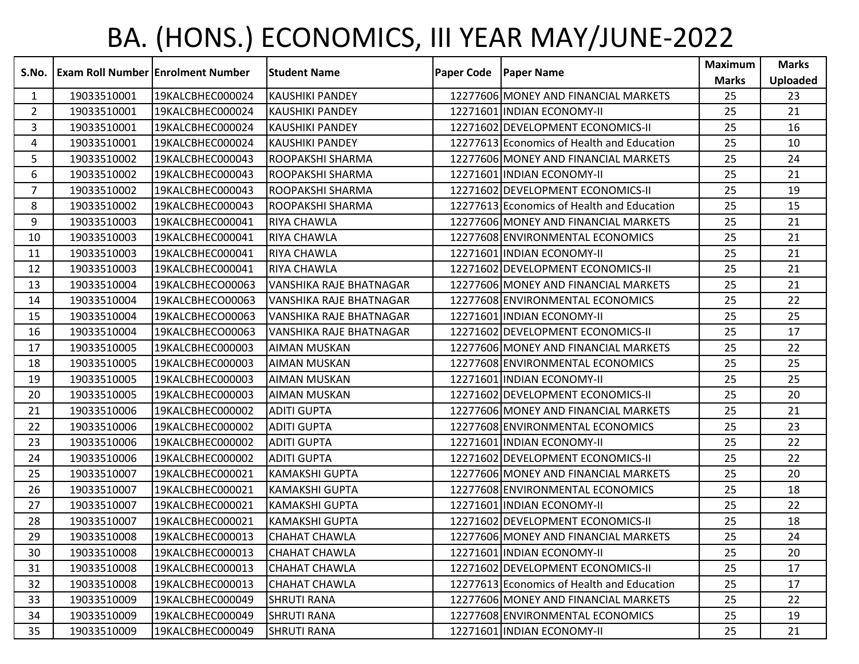## BA. (HONS.) ECONOMICS, III YEAR MAY/JUNE-2022

| S.No.          | <b>Exam Roll Number Enrolment Number</b> |                  | <b>Student Name</b>     | <b>Paper Code</b> | <b>Paper Name</b>                          | <b>Maximum</b> | <b>Marks</b> |
|----------------|------------------------------------------|------------------|-------------------------|-------------------|--------------------------------------------|----------------|--------------|
|                |                                          |                  |                         |                   |                                            | <b>Marks</b>   | Uploaded     |
| 1              | 19033510001                              | 19KALCBHEC000024 | <b>KAUSHIKI PANDEY</b>  |                   | 12277606 MONEY AND FINANCIAL MARKETS       | 25             | 23           |
| $\overline{2}$ | 19033510001                              | 19KALCBHEC000024 | <b>KAUSHIKI PANDEY</b>  |                   | 12271601 INDIAN ECONOMY-II                 | 25             | 21           |
| 3              | 19033510001                              | 19KALCBHEC000024 | <b>KAUSHIKI PANDEY</b>  |                   | 12271602 DEVELOPMENT ECONOMICS-II          | 25             | 16           |
| 4              | 19033510001                              | 19KALCBHEC000024 | <b>KAUSHIKI PANDEY</b>  |                   | 12277613 Economics of Health and Education | 25             | 10           |
| 5              | 19033510002                              | 19KALCBHEC000043 | ROOPAKSHI SHARMA        |                   | 12277606 MONEY AND FINANCIAL MARKETS       | 25             | 24           |
| 6              | 19033510002                              | 19KALCBHEC000043 | ROOPAKSHI SHARMA        |                   | 12271601 INDIAN ECONOMY-II                 | 25             | 21           |
| $\overline{7}$ | 19033510002                              | 19KALCBHEC000043 | ROOPAKSHI SHARMA        |                   | 12271602 DEVELOPMENT ECONOMICS-II          | 25             | 19           |
| 8              | 19033510002                              | 19KALCBHEC000043 | ROOPAKSHI SHARMA        |                   | 12277613 Economics of Health and Education | 25             | 15           |
| 9              | 19033510003                              | 19KALCBHEC000041 | RIYA CHAWLA             |                   | 12277606 MONEY AND FINANCIAL MARKETS       | 25             | 21           |
| 10             | 19033510003                              | 19KALCBHEC000041 | <b>RIYA CHAWLA</b>      |                   | 12277608 ENVIRONMENTAL ECONOMICS           | 25             | 21           |
| 11             | 19033510003                              | 19KALCBHEC000041 | RIYA CHAWLA             |                   | 12271601 INDIAN ECONOMY-II                 | 25             | 21           |
| 12             | 19033510003                              | 19KALCBHEC000041 | <b>RIYA CHAWLA</b>      |                   | 12271602 DEVELOPMENT ECONOMICS-II          | 25             | 21           |
| 13             | 19033510004                              | 19KALCBHECO00063 | VANSHIKA RAJE BHATNAGAR |                   | 12277606 MONEY AND FINANCIAL MARKETS       | 25             | 21           |
| 14             | 19033510004                              | 19KALCBHECO00063 | VANSHIKA RAJE BHATNAGAR |                   | 12277608 ENVIRONMENTAL ECONOMICS           | 25             | 22           |
| 15             | 19033510004                              | 19KALCBHECO00063 | VANSHIKA RAJE BHATNAGAR |                   | 12271601 INDIAN ECONOMY-II                 | 25             | 25           |
| 16             | 19033510004                              | 19KALCBHECO00063 | VANSHIKA RAJE BHATNAGAR |                   | 12271602 DEVELOPMENT ECONOMICS-II          | 25             | 17           |
| 17             | 19033510005                              | 19KALCBHEC000003 | <b>AIMAN MUSKAN</b>     |                   | 12277606 MONEY AND FINANCIAL MARKETS       | 25             | 22           |
| 18             | 19033510005                              | 19KALCBHEC000003 | <b>AIMAN MUSKAN</b>     |                   | 12277608 ENVIRONMENTAL ECONOMICS           | 25             | 25           |
| 19             | 19033510005                              | 19KALCBHEC000003 | <b>AIMAN MUSKAN</b>     |                   | 12271601 INDIAN ECONOMY-II                 | 25             | 25           |
| 20             | 19033510005                              | 19KALCBHEC000003 | <b>AIMAN MUSKAN</b>     |                   | 12271602 DEVELOPMENT ECONOMICS-II          | 25             | 20           |
| 21             | 19033510006                              | 19KALCBHEC000002 | <b>ADITI GUPTA</b>      |                   | 12277606 MONEY AND FINANCIAL MARKETS       | 25             | 21           |
| 22             | 19033510006                              | 19KALCBHEC000002 | <b>ADITI GUPTA</b>      |                   | 12277608 ENVIRONMENTAL ECONOMICS           | 25             | 23           |
| 23             | 19033510006                              | 19KALCBHEC000002 | <b>ADITI GUPTA</b>      |                   | 12271601 INDIAN ECONOMY-II                 | 25             | 22           |
| 24             | 19033510006                              | 19KALCBHEC000002 | <b>ADITI GUPTA</b>      |                   | 12271602 DEVELOPMENT ECONOMICS-II          | 25             | 22           |
| 25             | 19033510007                              | 19KALCBHEC000021 | <b>KAMAKSHI GUPTA</b>   |                   | 12277606 MONEY AND FINANCIAL MARKETS       | 25             | 20           |
| 26             | 19033510007                              | 19KALCBHEC000021 | <b>KAMAKSHI GUPTA</b>   |                   | 12277608 ENVIRONMENTAL ECONOMICS           | 25             | 18           |
| 27             | 19033510007                              | 19KALCBHEC000021 | <b>KAMAKSHI GUPTA</b>   |                   | 12271601 INDIAN ECONOMY-II                 | 25             | 22           |
| 28             | 19033510007                              | 19KALCBHEC000021 | <b>KAMAKSHI GUPTA</b>   |                   | 12271602 DEVELOPMENT ECONOMICS-II          | 25             | 18           |
| 29             | 19033510008                              | 19KALCBHEC000013 | <b>CHAHAT CHAWLA</b>    |                   | 12277606 MONEY AND FINANCIAL MARKETS       | 25             | 24           |
| 30             | 19033510008                              | 19KALCBHEC000013 | <b>CHAHAT CHAWLA</b>    |                   | 12271601 INDIAN ECONOMY-II                 | 25             | 20           |
| 31             | 19033510008                              | 19KALCBHEC000013 | <b>CHAHAT CHAWLA</b>    |                   | 12271602 DEVELOPMENT ECONOMICS-II          | 25             | 17           |
| 32             | 19033510008                              | 19KALCBHEC000013 | <b>CHAHAT CHAWLA</b>    |                   | 12277613 Economics of Health and Education | 25             | 17           |
| 33             | 19033510009                              | 19KALCBHEC000049 | <b>SHRUTI RANA</b>      |                   | 12277606 MONEY AND FINANCIAL MARKETS       | 25             | 22           |
| 34             | 19033510009                              | 19KALCBHEC000049 | <b>SHRUTI RANA</b>      |                   | 12277608 ENVIRONMENTAL ECONOMICS           | 25             | 19           |
| 35             | 19033510009                              | 19KALCBHEC000049 | <b>SHRUTI RANA</b>      |                   | 12271601 INDIAN ECONOMY-II                 | 25             | 21           |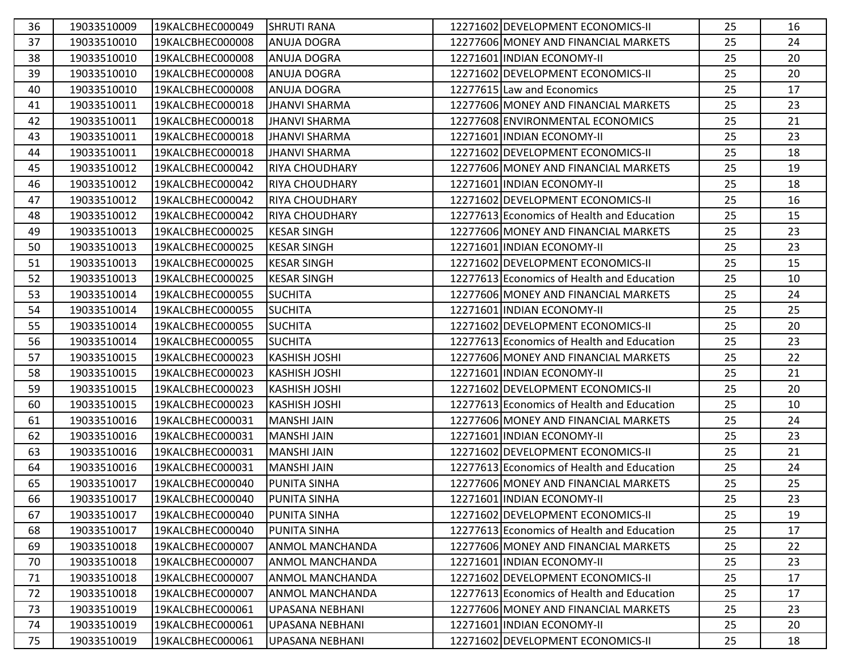| 36 | 19033510009 | 19KALCBHEC000049 | <b>SHRUTI RANA</b>     | 12271602 DEVELOPMENT ECONOMICS-II          | 25 | 16 |
|----|-------------|------------------|------------------------|--------------------------------------------|----|----|
| 37 | 19033510010 | 19KALCBHEC000008 | <b>ANUJA DOGRA</b>     | 12277606 MONEY AND FINANCIAL MARKETS       | 25 | 24 |
| 38 | 19033510010 | 19KALCBHEC000008 | <b>ANUJA DOGRA</b>     | 12271601 INDIAN ECONOMY-II                 | 25 | 20 |
| 39 | 19033510010 | 19KALCBHEC000008 | <b>ANUJA DOGRA</b>     | 12271602 DEVELOPMENT ECONOMICS-II          | 25 | 20 |
| 40 | 19033510010 | 19KALCBHEC000008 | ANUJA DOGRA            | 12277615 Law and Economics                 | 25 | 17 |
| 41 | 19033510011 | 19KALCBHEC000018 | <b>JHANVI SHARMA</b>   | 12277606 MONEY AND FINANCIAL MARKETS       | 25 | 23 |
| 42 | 19033510011 | 19KALCBHEC000018 | <b>JHANVI SHARMA</b>   | 12277608 ENVIRONMENTAL ECONOMICS           | 25 | 21 |
| 43 | 19033510011 | 19KALCBHEC000018 | <b>JHANVI SHARMA</b>   | 12271601 INDIAN ECONOMY-II                 | 25 | 23 |
| 44 | 19033510011 | 19KALCBHEC000018 | <b>JHANVI SHARMA</b>   | 12271602 DEVELOPMENT ECONOMICS-II          | 25 | 18 |
| 45 | 19033510012 | 19KALCBHEC000042 | <b>RIYA CHOUDHARY</b>  | 12277606 MONEY AND FINANCIAL MARKETS       | 25 | 19 |
| 46 | 19033510012 | 19KALCBHEC000042 | <b>RIYA CHOUDHARY</b>  | 12271601 INDIAN ECONOMY-II                 | 25 | 18 |
| 47 | 19033510012 | 19KALCBHEC000042 | <b>RIYA CHOUDHARY</b>  | 12271602 DEVELOPMENT ECONOMICS-II          | 25 | 16 |
| 48 | 19033510012 | 19KALCBHEC000042 | <b>RIYA CHOUDHARY</b>  | 12277613 Economics of Health and Education | 25 | 15 |
| 49 | 19033510013 | 19KALCBHEC000025 | <b>KESAR SINGH</b>     | 12277606 MONEY AND FINANCIAL MARKETS       | 25 | 23 |
| 50 | 19033510013 | 19KALCBHEC000025 | <b>KESAR SINGH</b>     | 12271601 INDIAN ECONOMY-II                 | 25 | 23 |
| 51 | 19033510013 | 19KALCBHEC000025 | <b>KESAR SINGH</b>     | 12271602 DEVELOPMENT ECONOMICS-II          | 25 | 15 |
| 52 | 19033510013 | 19KALCBHEC000025 | <b>KESAR SINGH</b>     | 12277613 Economics of Health and Education | 25 | 10 |
| 53 | 19033510014 | 19KALCBHEC000055 | <b>SUCHITA</b>         | 12277606 MONEY AND FINANCIAL MARKETS       | 25 | 24 |
| 54 | 19033510014 | 19KALCBHEC000055 | <b>SUCHITA</b>         | 12271601 INDIAN ECONOMY-II                 | 25 | 25 |
| 55 | 19033510014 | 19KALCBHEC000055 | <b>SUCHITA</b>         | 12271602 DEVELOPMENT ECONOMICS-II          | 25 | 20 |
| 56 | 19033510014 | 19KALCBHEC000055 | <b>SUCHITA</b>         | 12277613 Economics of Health and Education | 25 | 23 |
| 57 | 19033510015 | 19KALCBHEC000023 | <b>KASHISH JOSHI</b>   | 12277606 MONEY AND FINANCIAL MARKETS       | 25 | 22 |
| 58 | 19033510015 | 19KALCBHEC000023 | <b>KASHISH JOSHI</b>   | 12271601 INDIAN ECONOMY-II                 | 25 | 21 |
| 59 | 19033510015 | 19KALCBHEC000023 | <b>KASHISH JOSHI</b>   | 12271602 DEVELOPMENT ECONOMICS-II          | 25 | 20 |
| 60 | 19033510015 | 19KALCBHEC000023 | <b>KASHISH JOSHI</b>   | 12277613 Economics of Health and Education | 25 | 10 |
| 61 | 19033510016 | 19KALCBHEC000031 | <b>MANSHI JAIN</b>     | 12277606 MONEY AND FINANCIAL MARKETS       | 25 | 24 |
| 62 | 19033510016 | 19KALCBHEC000031 | <b>MANSHI JAIN</b>     | 12271601 INDIAN ECONOMY-II                 | 25 | 23 |
| 63 | 19033510016 | 19KALCBHEC000031 | <b>MANSHI JAIN</b>     | 12271602 DEVELOPMENT ECONOMICS-II          | 25 | 21 |
| 64 | 19033510016 | 19KALCBHEC000031 | <b>MANSHI JAIN</b>     | 12277613 Economics of Health and Education | 25 | 24 |
| 65 | 19033510017 | 19KALCBHEC000040 | <b>PUNITA SINHA</b>    | 12277606 MONEY AND FINANCIAL MARKETS       | 25 | 25 |
| 66 | 19033510017 | 19KALCBHEC000040 | PUNITA SINHA           | 12271601 INDIAN ECONOMY-II                 | 25 | 23 |
| 67 | 19033510017 | 19KALCBHEC000040 | <b>PUNITA SINHA</b>    | 12271602 DEVELOPMENT ECONOMICS-II          | 25 | 19 |
| 68 | 19033510017 | 19KALCBHEC000040 | PUNITA SINHA           | 12277613 Economics of Health and Education | 25 | 17 |
| 69 | 19033510018 | 19KALCBHEC000007 | <b>ANMOL MANCHANDA</b> | 12277606 MONEY AND FINANCIAL MARKETS       | 25 | 22 |
| 70 | 19033510018 | 19KALCBHEC000007 | <b>ANMOL MANCHANDA</b> | 12271601 INDIAN ECONOMY-II                 | 25 | 23 |
| 71 | 19033510018 | 19KALCBHEC000007 | <b>ANMOL MANCHANDA</b> | 12271602 DEVELOPMENT ECONOMICS-II          | 25 | 17 |
| 72 | 19033510018 | 19KALCBHEC000007 | <b>ANMOL MANCHANDA</b> | 12277613 Economics of Health and Education | 25 | 17 |
| 73 | 19033510019 | 19KALCBHEC000061 | <b>UPASANA NEBHANI</b> | 12277606 MONEY AND FINANCIAL MARKETS       | 25 | 23 |
| 74 | 19033510019 | 19KALCBHEC000061 | UPASANA NEBHANI        | 12271601 INDIAN ECONOMY-II                 | 25 | 20 |
| 75 | 19033510019 | 19KALCBHEC000061 | UPASANA NEBHANI        | 12271602 DEVELOPMENT ECONOMICS-II          | 25 | 18 |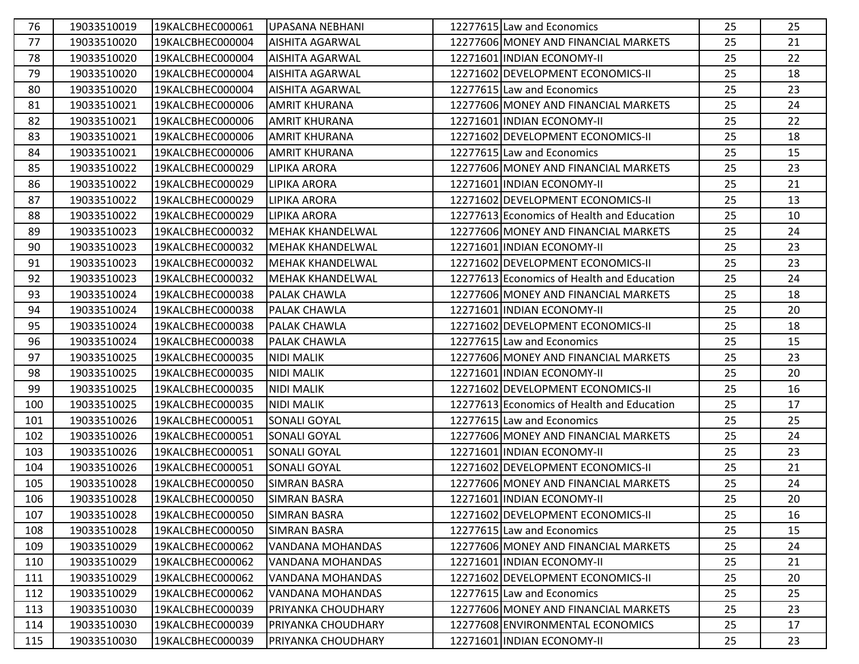| 76  | 19033510019 | 19KALCBHEC000061 | <b>UPASANA NEBHANI</b>  | 12277615 Law and Economics                 | 25 | 25 |
|-----|-------------|------------------|-------------------------|--------------------------------------------|----|----|
| 77  | 19033510020 | 19KALCBHEC000004 | <b>AISHITA AGARWAL</b>  | 12277606 MONEY AND FINANCIAL MARKETS       | 25 | 21 |
| 78  | 19033510020 | 19KALCBHEC000004 | <b>AISHITA AGARWAL</b>  | 12271601 INDIAN ECONOMY-II                 | 25 | 22 |
| 79  | 19033510020 | 19KALCBHEC000004 | <b>AISHITA AGARWAL</b>  | 12271602 DEVELOPMENT ECONOMICS-II          | 25 | 18 |
| 80  | 19033510020 | 19KALCBHEC000004 | <b>AISHITA AGARWAL</b>  | 12277615 Law and Economics                 | 25 | 23 |
| 81  | 19033510021 | 19KALCBHEC000006 | <b>AMRIT KHURANA</b>    | 12277606 MONEY AND FINANCIAL MARKETS       | 25 | 24 |
| 82  | 19033510021 | 19KALCBHEC000006 | <b>AMRIT KHURANA</b>    | 12271601 INDIAN ECONOMY-II                 | 25 | 22 |
| 83  | 19033510021 | 19KALCBHEC000006 | <b>AMRIT KHURANA</b>    | 12271602 DEVELOPMENT ECONOMICS-II          | 25 | 18 |
| 84  | 19033510021 | 19KALCBHEC000006 | <b>AMRIT KHURANA</b>    | 12277615 Law and Economics                 | 25 | 15 |
| 85  | 19033510022 | 19KALCBHEC000029 | <b>LIPIKA ARORA</b>     | 12277606 MONEY AND FINANCIAL MARKETS       | 25 | 23 |
| 86  | 19033510022 | 19KALCBHEC000029 | <b>LIPIKA ARORA</b>     | 12271601 INDIAN ECONOMY-II                 | 25 | 21 |
| 87  | 19033510022 | 19KALCBHEC000029 | LIPIKA ARORA            | 12271602 DEVELOPMENT ECONOMICS-II          | 25 | 13 |
| 88  | 19033510022 | 19KALCBHEC000029 | <b>LIPIKA ARORA</b>     | 12277613 Economics of Health and Education | 25 | 10 |
| 89  | 19033510023 | 19KALCBHEC000032 | <b>MEHAK KHANDELWAL</b> | 12277606 MONEY AND FINANCIAL MARKETS       | 25 | 24 |
| 90  | 19033510023 | 19KALCBHEC000032 | <b>MEHAK KHANDELWAL</b> | 12271601 INDIAN ECONOMY-II                 | 25 | 23 |
| 91  | 19033510023 | 19KALCBHEC000032 | <b>MEHAK KHANDELWAL</b> | 12271602 DEVELOPMENT ECONOMICS-II          | 25 | 23 |
| 92  | 19033510023 | 19KALCBHEC000032 | <b>MEHAK KHANDELWAL</b> | 12277613 Economics of Health and Education | 25 | 24 |
| 93  | 19033510024 | 19KALCBHEC000038 | <b>PALAK CHAWLA</b>     | 12277606 MONEY AND FINANCIAL MARKETS       | 25 | 18 |
| 94  | 19033510024 | 19KALCBHEC000038 | PALAK CHAWLA            | 12271601 INDIAN ECONOMY-II                 | 25 | 20 |
| 95  | 19033510024 | 19KALCBHEC000038 | PALAK CHAWLA            | 12271602 DEVELOPMENT ECONOMICS-II          | 25 | 18 |
| 96  | 19033510024 | 19KALCBHEC000038 | <b>PALAK CHAWLA</b>     | 12277615 Law and Economics                 | 25 | 15 |
| 97  | 19033510025 | 19KALCBHEC000035 | <b>NIDI MALIK</b>       | 12277606 MONEY AND FINANCIAL MARKETS       | 25 | 23 |
| 98  | 19033510025 | 19KALCBHEC000035 | <b>NIDI MALIK</b>       | 12271601 INDIAN ECONOMY-II                 | 25 | 20 |
| 99  | 19033510025 | 19KALCBHEC000035 | <b>NIDI MALIK</b>       | 12271602 DEVELOPMENT ECONOMICS-II          | 25 | 16 |
| 100 | 19033510025 | 19KALCBHEC000035 | <b>NIDI MALIK</b>       | 12277613 Economics of Health and Education | 25 | 17 |
| 101 | 19033510026 | 19KALCBHEC000051 | SONALI GOYAL            | 12277615 Law and Economics                 | 25 | 25 |
| 102 | 19033510026 | 19KALCBHEC000051 | <b>SONALI GOYAL</b>     | 12277606 MONEY AND FINANCIAL MARKETS       | 25 | 24 |
| 103 | 19033510026 | 19KALCBHEC000051 | <b>SONALI GOYAL</b>     | 12271601 INDIAN ECONOMY-II                 | 25 | 23 |
| 104 | 19033510026 | 19KALCBHEC000051 | <b>SONALI GOYAL</b>     | 12271602 DEVELOPMENT ECONOMICS-II          | 25 | 21 |
| 105 | 19033510028 | 19KALCBHEC000050 | <b>SIMRAN BASRA</b>     | 12277606 MONEY AND FINANCIAL MARKETS       | 25 | 24 |
| 106 | 19033510028 | 19KALCBHEC000050 | <b>SIMRAN BASRA</b>     | 12271601 INDIAN ECONOMY-II                 | 25 | 20 |
| 107 | 19033510028 | 19KALCBHEC000050 | <b>SIMRAN BASRA</b>     | 12271602 DEVELOPMENT ECONOMICS-II          | 25 | 16 |
| 108 | 19033510028 | 19KALCBHEC000050 | <b>SIMRAN BASRA</b>     | 12277615 Law and Economics                 | 25 | 15 |
| 109 | 19033510029 | 19KALCBHEC000062 | VANDANA MOHANDAS        | 12277606 MONEY AND FINANCIAL MARKETS       | 25 | 24 |
| 110 | 19033510029 | 19KALCBHEC000062 | VANDANA MOHANDAS        | 12271601 INDIAN ECONOMY-II                 | 25 | 21 |
| 111 | 19033510029 | 19KALCBHEC000062 | VANDANA MOHANDAS        | 12271602 DEVELOPMENT ECONOMICS-II          | 25 | 20 |
| 112 | 19033510029 | 19KALCBHEC000062 | <b>VANDANA MOHANDAS</b> | 12277615 Law and Economics                 | 25 | 25 |
| 113 | 19033510030 | 19KALCBHEC000039 | PRIYANKA CHOUDHARY      | 12277606 MONEY AND FINANCIAL MARKETS       | 25 | 23 |
| 114 | 19033510030 | 19KALCBHEC000039 | PRIYANKA CHOUDHARY      | 12277608 ENVIRONMENTAL ECONOMICS           | 25 | 17 |
| 115 | 19033510030 | 19KALCBHEC000039 | PRIYANKA CHOUDHARY      | 12271601 INDIAN ECONOMY-II                 | 25 | 23 |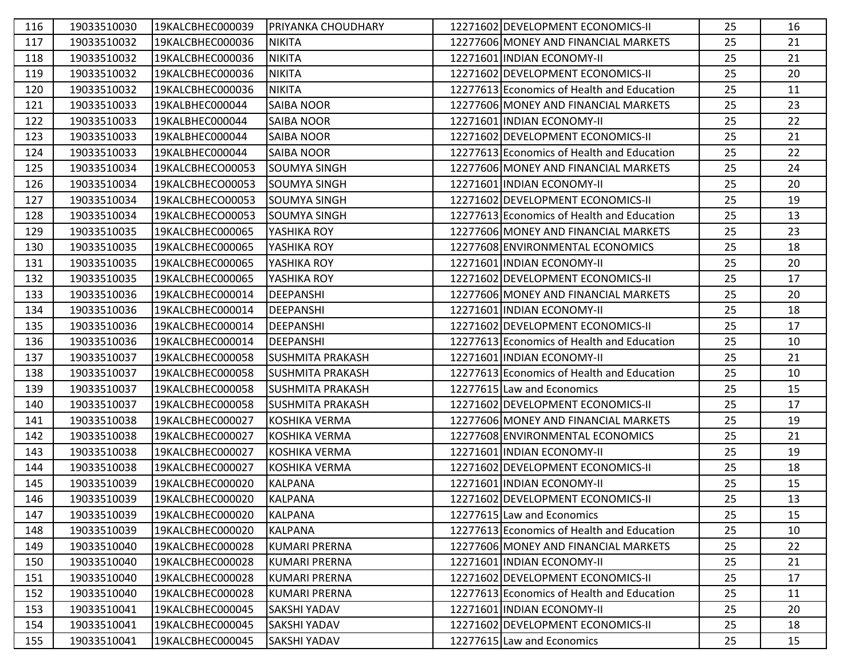| 116 | 19033510030 | 19KALCBHEC000039 | PRIYANKA CHOUDHARY      | 12271602 DEVELOPMENT ECONOMICS-II          | 25 | 16 |
|-----|-------------|------------------|-------------------------|--------------------------------------------|----|----|
| 117 | 19033510032 | 19KALCBHEC000036 | <b>NIKITA</b>           | 12277606 MONEY AND FINANCIAL MARKETS       | 25 | 21 |
| 118 | 19033510032 | 19KALCBHEC000036 | <b>NIKITA</b>           | 12271601 INDIAN ECONOMY-II                 | 25 | 21 |
| 119 | 19033510032 | 19KALCBHEC000036 | <b>NIKITA</b>           | 12271602 DEVELOPMENT ECONOMICS-II          | 25 | 20 |
| 120 | 19033510032 | 19KALCBHEC000036 | <b>NIKITA</b>           | 12277613 Economics of Health and Education | 25 | 11 |
| 121 | 19033510033 | 19KALBHEC000044  | <b>SAIBA NOOR</b>       | 12277606 MONEY AND FINANCIAL MARKETS       | 25 | 23 |
| 122 | 19033510033 | 19KALBHEC000044  | <b>SAIBA NOOR</b>       | 12271601 INDIAN ECONOMY-II                 | 25 | 22 |
| 123 | 19033510033 | 19KALBHEC000044  | <b>SAIBA NOOR</b>       | 12271602 DEVELOPMENT ECONOMICS-II          | 25 | 21 |
| 124 | 19033510033 | 19KALBHEC000044  | <b>SAIBA NOOR</b>       | 12277613 Economics of Health and Education | 25 | 22 |
| 125 | 19033510034 | 19KALCBHECO00053 | <b>SOUMYA SINGH</b>     | 12277606 MONEY AND FINANCIAL MARKETS       | 25 | 24 |
| 126 | 19033510034 | 19KALCBHECO00053 | <b>SOUMYA SINGH</b>     | 12271601 INDIAN ECONOMY-II                 | 25 | 20 |
| 127 | 19033510034 | 19KALCBHECO00053 | <b>SOUMYA SINGH</b>     | 12271602 DEVELOPMENT ECONOMICS-II          | 25 | 19 |
| 128 | 19033510034 | 19KALCBHECO00053 | <b>SOUMYA SINGH</b>     | 12277613 Economics of Health and Education | 25 | 13 |
| 129 | 19033510035 | 19KALCBHEC000065 | YASHIKA ROY             | 12277606 MONEY AND FINANCIAL MARKETS       | 25 | 23 |
| 130 | 19033510035 | 19KALCBHEC000065 | YASHIKA ROY             | 12277608 ENVIRONMENTAL ECONOMICS           | 25 | 18 |
| 131 | 19033510035 | 19KALCBHEC000065 | YASHIKA ROY             | 12271601 INDIAN ECONOMY-II                 | 25 | 20 |
| 132 | 19033510035 | 19KALCBHEC000065 | YASHIKA ROY             | 12271602 DEVELOPMENT ECONOMICS-II          | 25 | 17 |
| 133 | 19033510036 | 19KALCBHEC000014 | <b>DEEPANSHI</b>        | 12277606 MONEY AND FINANCIAL MARKETS       | 25 | 20 |
| 134 | 19033510036 | 19KALCBHEC000014 | <b>DEEPANSHI</b>        | 12271601 INDIAN ECONOMY-II                 | 25 | 18 |
| 135 | 19033510036 | 19KALCBHEC000014 | <b>DEEPANSHI</b>        | 12271602 DEVELOPMENT ECONOMICS-II          | 25 | 17 |
| 136 | 19033510036 | 19KALCBHEC000014 | <b>DEEPANSHI</b>        | 12277613 Economics of Health and Education | 25 | 10 |
| 137 | 19033510037 | 19KALCBHEC000058 | <b>SUSHMITA PRAKASH</b> | 12271601 INDIAN ECONOMY-II                 | 25 | 21 |
| 138 | 19033510037 | 19KALCBHEC000058 | <b>SUSHMITA PRAKASH</b> | 12277613 Economics of Health and Education | 25 | 10 |
| 139 | 19033510037 | 19KALCBHEC000058 | <b>SUSHMITA PRAKASH</b> | 12277615 Law and Economics                 | 25 | 15 |
| 140 | 19033510037 | 19KALCBHEC000058 | <b>SUSHMITA PRAKASH</b> | 12271602 DEVELOPMENT ECONOMICS-II          | 25 | 17 |
| 141 | 19033510038 | 19KALCBHEC000027 | <b>KOSHIKA VERMA</b>    | 12277606 MONEY AND FINANCIAL MARKETS       | 25 | 19 |
| 142 | 19033510038 | 19KALCBHEC000027 | <b>KOSHIKA VERMA</b>    | 12277608 ENVIRONMENTAL ECONOMICS           | 25 | 21 |
| 143 | 19033510038 | 19KALCBHEC000027 | <b>KOSHIKA VERMA</b>    | 12271601 INDIAN ECONOMY-II                 | 25 | 19 |
| 144 | 19033510038 | 19KALCBHEC000027 | <b>KOSHIKA VERMA</b>    | 12271602 DEVELOPMENT ECONOMICS-II          | 25 | 18 |
| 145 | 19033510039 | 19KALCBHEC000020 | <b>KALPANA</b>          | 12271601 INDIAN ECONOMY-II                 | 25 | 15 |
| 146 | 19033510039 | 19KALCBHEC000020 | <b>KALPANA</b>          | 12271602 DEVELOPMENT ECONOMICS-II          | 25 | 13 |
| 147 | 19033510039 | 19KALCBHEC000020 | <b>KALPANA</b>          | 12277615 Law and Economics                 | 25 | 15 |
| 148 | 19033510039 | 19KALCBHEC000020 | <b>KALPANA</b>          | 12277613 Economics of Health and Education | 25 | 10 |
| 149 | 19033510040 | 19KALCBHEC000028 | <b>KUMARI PRERNA</b>    | 12277606 MONEY AND FINANCIAL MARKETS       | 25 | 22 |
| 150 | 19033510040 | 19KALCBHEC000028 | <b>KUMARI PRERNA</b>    | 12271601 INDIAN ECONOMY-II                 | 25 | 21 |
| 151 | 19033510040 | 19KALCBHEC000028 | KUMARI PRERNA           | 12271602 DEVELOPMENT ECONOMICS-II          | 25 | 17 |
| 152 | 19033510040 | 19KALCBHEC000028 | <b>KUMARI PRERNA</b>    | 12277613 Economics of Health and Education | 25 | 11 |
| 153 | 19033510041 | 19KALCBHEC000045 | <b>SAKSHI YADAV</b>     | 12271601 INDIAN ECONOMY-II                 | 25 | 20 |
| 154 | 19033510041 | 19KALCBHEC000045 | <b>SAKSHI YADAV</b>     | 12271602 DEVELOPMENT ECONOMICS-II          | 25 | 18 |
| 155 | 19033510041 | 19KALCBHEC000045 | <b>SAKSHI YADAV</b>     | 12277615 Law and Economics                 | 25 | 15 |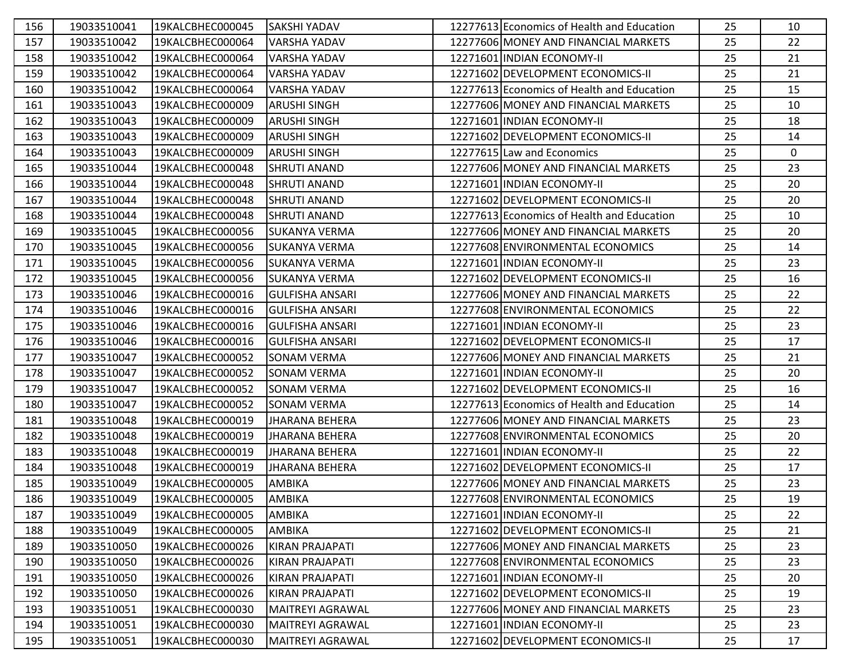| 156 | 19033510041 | 19KALCBHEC000045 | <b>SAKSHI YADAV</b>     | 12277613 Economics of Health and Education | 25 | 10          |
|-----|-------------|------------------|-------------------------|--------------------------------------------|----|-------------|
| 157 | 19033510042 | 19KALCBHEC000064 | <b>VARSHA YADAV</b>     | 12277606 MONEY AND FINANCIAL MARKETS       | 25 | 22          |
| 158 | 19033510042 | 19KALCBHEC000064 | <b>VARSHA YADAV</b>     | 12271601 INDIAN ECONOMY-II                 | 25 | 21          |
| 159 | 19033510042 | 19KALCBHEC000064 | <b>VARSHA YADAV</b>     | 12271602 DEVELOPMENT ECONOMICS-II          | 25 | 21          |
| 160 | 19033510042 | 19KALCBHEC000064 | VARSHA YADAV            | 12277613 Economics of Health and Education | 25 | 15          |
| 161 | 19033510043 | 19KALCBHEC000009 | <b>ARUSHI SINGH</b>     | 12277606 MONEY AND FINANCIAL MARKETS       | 25 | 10          |
| 162 | 19033510043 | 19KALCBHEC000009 | <b>ARUSHI SINGH</b>     | 12271601 INDIAN ECONOMY-II                 | 25 | 18          |
| 163 | 19033510043 | 19KALCBHEC000009 | <b>ARUSHI SINGH</b>     | 12271602 DEVELOPMENT ECONOMICS-II          | 25 | 14          |
| 164 | 19033510043 | 19KALCBHEC000009 | <b>ARUSHI SINGH</b>     | 12277615 Law and Economics                 | 25 | $\mathbf 0$ |
| 165 | 19033510044 | 19KALCBHEC000048 | <b>SHRUTI ANAND</b>     | 12277606 MONEY AND FINANCIAL MARKETS       | 25 | 23          |
| 166 | 19033510044 | 19KALCBHEC000048 | <b>SHRUTI ANAND</b>     | 12271601 INDIAN ECONOMY-II                 | 25 | 20          |
| 167 | 19033510044 | 19KALCBHEC000048 | <b>SHRUTI ANAND</b>     | 12271602 DEVELOPMENT ECONOMICS-II          | 25 | 20          |
| 168 | 19033510044 | 19KALCBHEC000048 | <b>SHRUTI ANAND</b>     | 12277613 Economics of Health and Education | 25 | 10          |
| 169 | 19033510045 | 19KALCBHEC000056 | <b>SUKANYA VERMA</b>    | 12277606 MONEY AND FINANCIAL MARKETS       | 25 | 20          |
| 170 | 19033510045 | 19KALCBHEC000056 | <b>SUKANYA VERMA</b>    | 12277608 ENVIRONMENTAL ECONOMICS           | 25 | 14          |
| 171 | 19033510045 | 19KALCBHEC000056 | <b>SUKANYA VERMA</b>    | 12271601 INDIAN ECONOMY-II                 | 25 | 23          |
| 172 | 19033510045 | 19KALCBHEC000056 | SUKANYA VERMA           | 12271602 DEVELOPMENT ECONOMICS-II          | 25 | 16          |
| 173 | 19033510046 | 19KALCBHEC000016 | <b>GULFISHA ANSARI</b>  | 12277606 MONEY AND FINANCIAL MARKETS       | 25 | 22          |
| 174 | 19033510046 | 19KALCBHEC000016 | <b>GULFISHA ANSARI</b>  | 12277608 ENVIRONMENTAL ECONOMICS           | 25 | 22          |
| 175 | 19033510046 | 19KALCBHEC000016 | <b>GULFISHA ANSARI</b>  | 12271601 INDIAN ECONOMY-II                 | 25 | 23          |
| 176 | 19033510046 | 19KALCBHEC000016 | <b>GULFISHA ANSARI</b>  | 12271602 DEVELOPMENT ECONOMICS-II          | 25 | 17          |
| 177 | 19033510047 | 19KALCBHEC000052 | <b>SONAM VERMA</b>      | 12277606 MONEY AND FINANCIAL MARKETS       | 25 | 21          |
| 178 | 19033510047 | 19KALCBHEC000052 | <b>SONAM VERMA</b>      | 12271601 INDIAN ECONOMY-II                 | 25 | 20          |
| 179 | 19033510047 | 19KALCBHEC000052 | SONAM VERMA             | 12271602 DEVELOPMENT ECONOMICS-II          | 25 | 16          |
| 180 | 19033510047 | 19KALCBHEC000052 | <b>SONAM VERMA</b>      | 12277613 Economics of Health and Education | 25 | 14          |
| 181 | 19033510048 | 19KALCBHEC000019 | <b>JHARANA BEHERA</b>   | 12277606 MONEY AND FINANCIAL MARKETS       | 25 | 23          |
| 182 | 19033510048 | 19KALCBHEC000019 | <b>JHARANA BEHERA</b>   | 12277608 ENVIRONMENTAL ECONOMICS           | 25 | 20          |
| 183 | 19033510048 | 19KALCBHEC000019 | <b>JHARANA BEHERA</b>   | 12271601 INDIAN ECONOMY-II                 | 25 | 22          |
| 184 | 19033510048 | 19KALCBHEC000019 | <b>JHARANA BEHERA</b>   | 12271602 DEVELOPMENT ECONOMICS-II          | 25 | 17          |
| 185 | 19033510049 | 19KALCBHEC000005 | <b>AMBIKA</b>           | 12277606 MONEY AND FINANCIAL MARKETS       | 25 | 23          |
| 186 | 19033510049 | 19KALCBHEC000005 | <b>AMBIKA</b>           | 12277608 ENVIRONMENTAL ECONOMICS           | 25 | 19          |
| 187 | 19033510049 | 19KALCBHEC000005 | <b>AMBIKA</b>           | 12271601 INDIAN ECONOMY-II                 | 25 | 22          |
| 188 | 19033510049 | 19KALCBHEC000005 | <b>AMBIKA</b>           | 12271602 DEVELOPMENT ECONOMICS-II          | 25 | 21          |
| 189 | 19033510050 | 19KALCBHEC000026 | KIRAN PRAJAPATI         | 12277606 MONEY AND FINANCIAL MARKETS       | 25 | 23          |
| 190 | 19033510050 | 19KALCBHEC000026 | <b>KIRAN PRAJAPATI</b>  | 12277608 ENVIRONMENTAL ECONOMICS           | 25 | 23          |
| 191 | 19033510050 | 19KALCBHEC000026 | KIRAN PRAJAPATI         | 12271601 INDIAN ECONOMY-II                 | 25 | 20          |
| 192 | 19033510050 | 19KALCBHEC000026 | KIRAN PRAJAPATI         | 12271602 DEVELOPMENT ECONOMICS-II          | 25 | 19          |
| 193 | 19033510051 | 19KALCBHEC000030 | MAITREYI AGRAWAL        | 12277606 MONEY AND FINANCIAL MARKETS       | 25 | 23          |
| 194 | 19033510051 | 19KALCBHEC000030 | <b>MAITREYI AGRAWAL</b> | 12271601 INDIAN ECONOMY-II                 | 25 | 23          |
| 195 | 19033510051 | 19KALCBHEC000030 | <b>MAITREYI AGRAWAL</b> | 12271602 DEVELOPMENT ECONOMICS-II          | 25 | 17          |